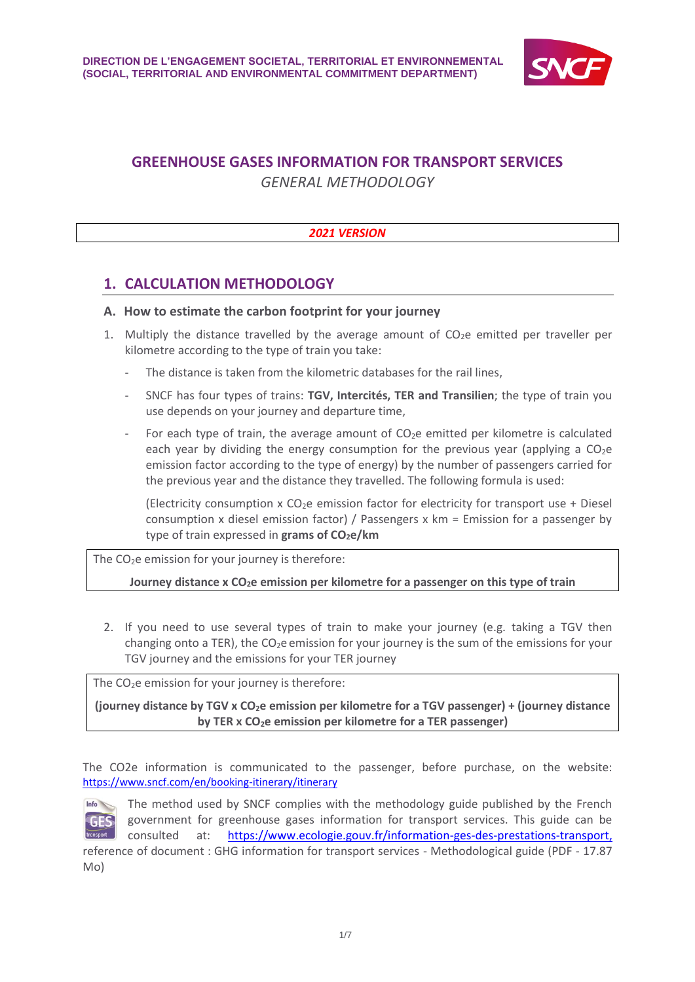

# **GREENHOUSE GASES INFORMATION FOR TRANSPORT SERVICES**

*GENERAL METHODOLOGY*

## *2021 VERSION*

## **1. CALCULATION METHODOLOGY**

## **A. How to estimate the carbon footprint for your journey**

- 1. Multiply the distance travelled by the average amount of  $CO<sub>2</sub>e$  emitted per traveller per kilometre according to the type of train you take:
	- The distance is taken from the kilometric databases for the rail lines,
	- SNCF has four types of trains: **TGV, Intercités, TER and Transilien**; the type of train you use depends on your journey and departure time,
	- For each type of train, the average amount of  $CO<sub>2</sub>e$  emitted per kilometre is calculated each year by dividing the energy consumption for the previous year (applying a  $CO<sub>2</sub>e$ emission factor according to the type of energy) by the number of passengers carried for the previous year and the distance they travelled. The following formula is used:

(Electricity consumption x  $CO<sub>2</sub>e$  emission factor for electricity for transport use + Diesel consumption x diesel emission factor) / Passengers x km = Emission for a passenger by type of train expressed in **grams of CO2e/km**

The  $CO<sub>2</sub>e$  emission for your journey is therefore:

**Journey distance x CO2e emission per kilometre for a passenger on this type of train**

2. If you need to use several types of train to make your journey (e.g. taking a TGV then changing onto a TER), the  $CO<sub>2</sub>e$  emission for your journey is the sum of the emissions for your TGV journey and the emissions for your TER journey

The  $CO<sub>2</sub>e$  emission for your journey is therefore:

**(journey distance by TGV x CO2e emission per kilometre for a TGV passenger) + (journey distance by TER x CO2e emission per kilometre for a TER passenger)**

The CO2e information is communicated to the passenger, before purchase, on the website: <https://www.sncf.com/en/booking-itinerary/itinerary>



The method used by SNCF complies with the methodology guide published by the French government for greenhouse gases information for transport services. This guide can be consulted at: [https://www.ecologie.gouv.fr/information-ges-des-prestations-transport,](https://www.ecologie.gouv.fr/information-ges-des-prestations-transport)

reference of document : GHG information for transport services - Methodological guide (PDF - 17.87 Mo)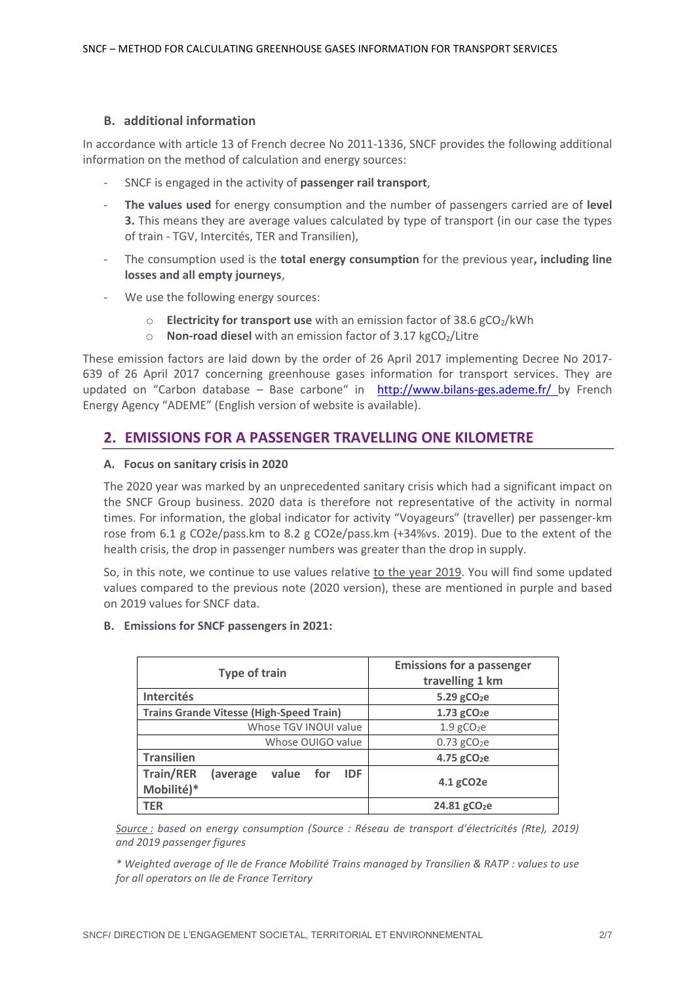### **B. additional information**

In accordance with article 13 of French decree No 2011-1336, SNCF provides the following additional information on the method of calculation and energy sources:

- SNCF is engaged in the activity of **passenger rail transport**,
- **The values used** for energy consumption and the number of passengers carried are of **level 3.** This means they are average values calculated by type of transport (in our case the types of train - TGV, Intercités, TER and Transilien),
- The consumption used is the **total energy consumption** for the previous year**, including line losses and all empty journeys**,
- We use the following energy sources:
	- o **Electricity for transport use** with an emission factor of 38.6 gCO2/kWh
	- o **Non-road diesel** with an emission factor of 3.17 kgCO<sub>2</sub>/Litre

These emission factors are laid down by the order of 26 April 2017 implementing Decree No 2017- 639 of 26 April 2017 concerning greenhouse gases information for transport services. They are updated on "Carbon database – Base carbone" in <http://www.bilans-ges.ademe.fr/> by French Energy Agency "ADEME" (English version of website is available).

## **2. EMISSIONS FOR A PASSENGER TRAVELLING ONE KILOMETRE**

### **A. Focus on sanitary crisis in 2020**

The 2020 year was marked by an unprecedented sanitary crisis which had a significant impact on the SNCF Group business. 2020 data is therefore not representative of the activity in normal times. For information, the global indicator for activity "Voyageurs" (traveller) per passenger-km rose from 6.1 g CO2e/pass.km to 8.2 g CO2e/pass.km (+34%vs. 2019). Due to the extent of the health crisis, the drop in passenger numbers was greater than the drop in supply.

So, in this note, we continue to use values relative to the year 2019. You will find some updated values compared to the previous note (2020 version), these are mentioned in purple and based on 2019 values for SNCF data.

### **B. Emissions for SNCF passengers in 2021:**

| <b>Type of train</b>                                                                            | <b>Emissions for a passenger</b><br>travelling 1 km |  |  |  |
|-------------------------------------------------------------------------------------------------|-----------------------------------------------------|--|--|--|
| <b>Intercités</b>                                                                               | $5.29$ gCO <sub>2</sub> e                           |  |  |  |
| <b>Trains Grande Vitesse (High-Speed Train)</b>                                                 | $1.73$ gCO <sub>2</sub> e                           |  |  |  |
| Whose TGV INOUI value                                                                           | $1.9$ gCO <sub>2</sub> e                            |  |  |  |
| Whose OUIGO value                                                                               | $0.73$ gCO <sub>2</sub> e                           |  |  |  |
| <b>Transilien</b>                                                                               | 4.75 gCO <sub>2</sub> e                             |  |  |  |
| <b>Train/RER</b><br>(average<br>value for<br><b>IDF</b><br>4.1 gCO <sub>2</sub> e<br>Mobilité)* |                                                     |  |  |  |
| <b>TER</b>                                                                                      | 24.81 gCO <sub>2</sub> e                            |  |  |  |

*Source : based on energy consumption (Source : Réseau de transport d'électricités (Rte), 2019) and 2019 passenger figures*

*\* Weighted average of Ile de France Mobilité Trains managed by Transilien & RATP : values to use for all operators on Ile de France Territory*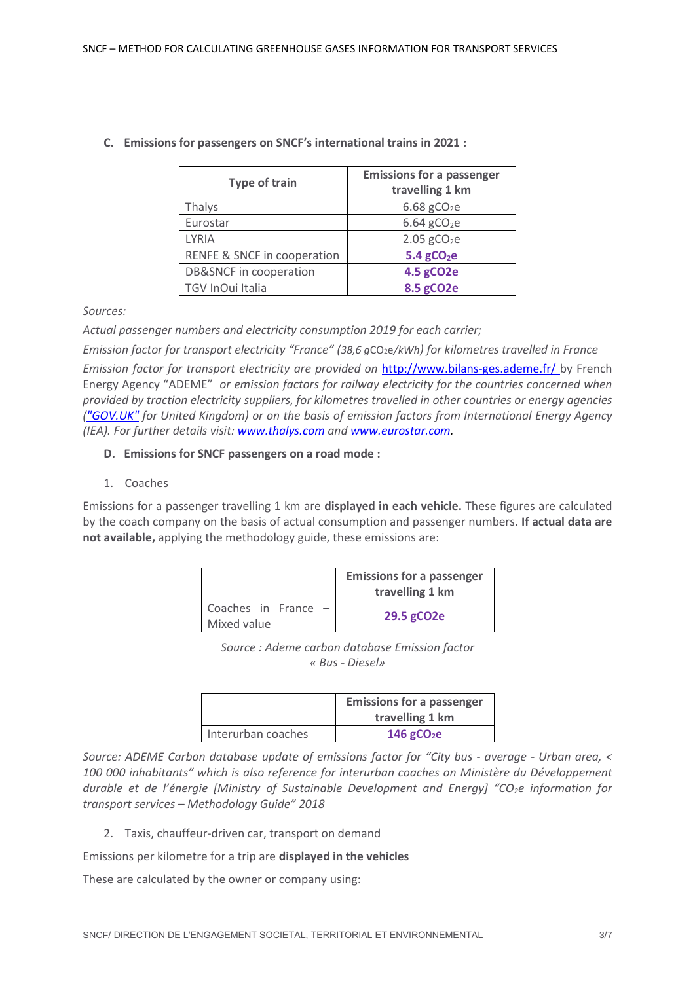| <b>Type of train</b>              | <b>Emissions for a passenger</b><br>travelling 1 km |  |  |  |  |
|-----------------------------------|-----------------------------------------------------|--|--|--|--|
| Thalys                            | $6.68$ gCO <sub>2</sub> e                           |  |  |  |  |
| Eurostar                          | $6.64$ gCO <sub>2</sub> e                           |  |  |  |  |
| <b>LYRIA</b>                      | $2.05$ gCO <sub>2</sub> e                           |  |  |  |  |
| RENFE & SNCF in cooperation       | $5.4$ gCO <sub>2</sub> e                            |  |  |  |  |
| <b>DB&amp;SNCF</b> in cooperation | 4.5 gCO2e                                           |  |  |  |  |
| TGV InOui Italia                  | 8.5 gCO2e                                           |  |  |  |  |

### **C. Emissions for passengers on SNCF's international trains in 2021 :**

*Sources:* 

*Actual passenger numbers and electricity consumption 2019 for each carrier;*

*Emission factor for transport electricity "France" (38,6 g*CO2e*/kWh) for kilometres travelled in France Emission factor for transport electricity are provided on* <http://www.bilans-ges.ademe.fr/> by French Energy Agency "ADEME" *or emission factors for railway electricity for the countries concerned when provided by traction electricity suppliers, for kilometres travelled in other countries or energy agencies [\("GOV.UK"](file:///C:/Users/8813038P/Documents/1_Données%20extra-financières/2019_Campagne/7_Documents/0.435%20kg%20de%20CO2e/kWh,) for United Kingdom) or on the basis of emission factors from International Energy Agency (IEA). For further details visit[: www.thalys.com](http://www.thalys.com/) and [www.eurostar.com.](http://www.eurostar.com/)* 

- **D. Emissions for SNCF passengers on a road mode :**
- 1. Coaches

Emissions for a passenger travelling 1 km are **displayed in each vehicle.** These figures are calculated by the coach company on the basis of actual consumption and passenger numbers. **If actual data are not available,** applying the methodology guide, these emissions are:

|                                      | <b>Emissions for a passenger</b><br>travelling 1 km |
|--------------------------------------|-----------------------------------------------------|
| Coaches in France $-$<br>Mixed value | 29.5 gCO2e                                          |

*Source : Ademe carbon database Emission factor « Bus - Diesel»*

|                    | <b>Emissions for a passenger</b><br>travelling 1 km |
|--------------------|-----------------------------------------------------|
| Interurban coaches | 146 $gCO2e$                                         |

*Source: ADEME Carbon database update of emissions factor for "City bus - average - Urban area, < 100 000 inhabitants" which is also reference for interurban coaches on Ministère du Développement durable et de l'énergie [Ministry of Sustainable Development and Energy] "CO2e information for transport services – Methodology Guide" 2018*

2. Taxis, chauffeur-driven car, transport on demand

Emissions per kilometre for a trip are **displayed in the vehicles**

These are calculated by the owner or company using: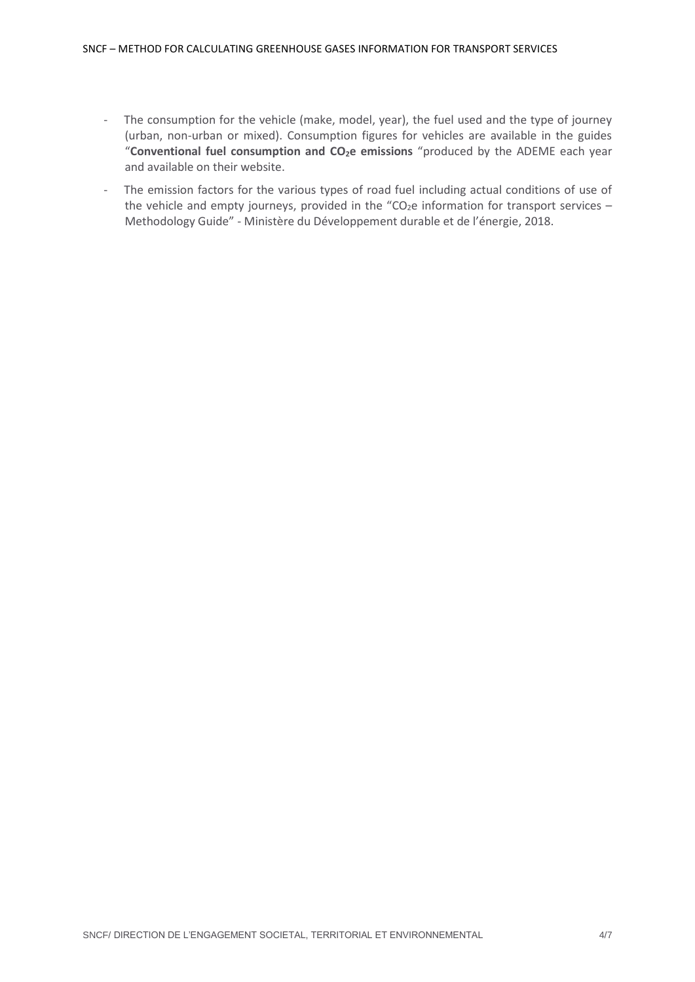- The consumption for the vehicle (make, model, year), the fuel used and the type of journey (urban, non-urban or mixed). Consumption figures for vehicles are available in the guides "**Conventional fuel consumption and CO2e emissions** "produced by the ADEME each year and available on their website.
- The emission factors for the various types of road fuel including actual conditions of use of the vehicle and empty journeys, provided in the "CO<sub>2</sub>e information for transport services – Methodology Guide" - Ministère du Développement durable et de l'énergie, 2018.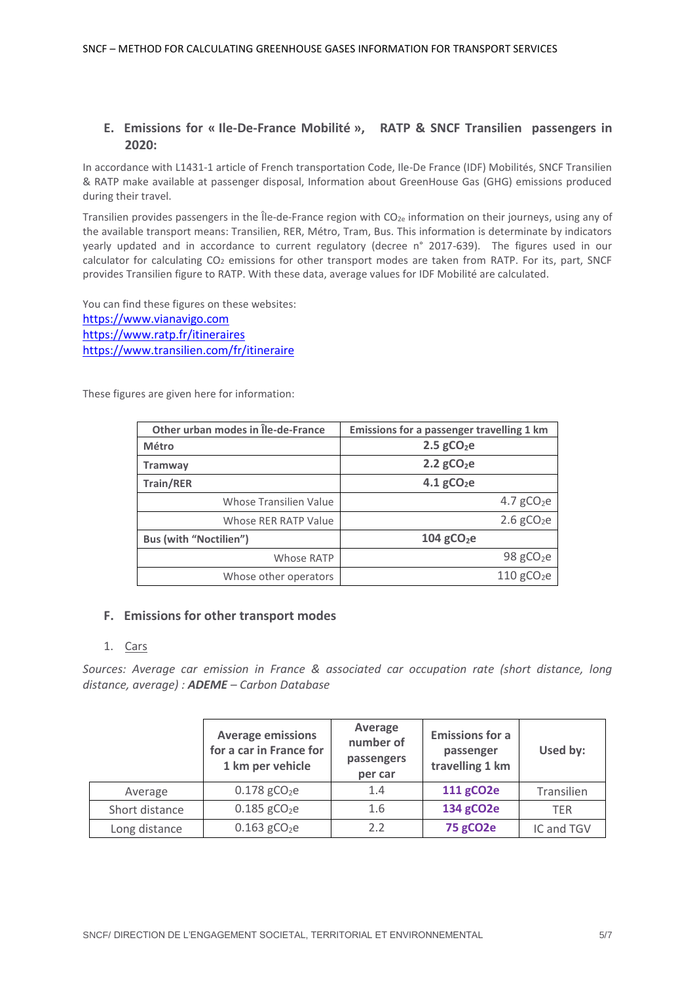## **E. Emissions for « Ile-De-France Mobilité », RATP & SNCF Transilien passengers in 2020:**

In accordance with L1431-1 article of French transportation Code, Ile-De France (IDF) Mobilités, SNCF Transilien & RATP make available at passenger disposal, Information about GreenHouse Gas (GHG) emissions produced during their travel.

Transilien provides passengers in the Île-de-France region with CO2e information on their journeys, using any of the available transport means: Transilien, RER, Métro, Tram, Bus. This information is determinate by indicators yearly updated and in accordance to current regulatory (decree n° 2017-639). The figures used in our calculator for calculating CO<sub>2</sub> emissions for other transport modes are taken from RATP. For its, part, SNCF provides Transilien figure to RATP. With these data, average values for IDF Mobilité are calculated.

You can find these figures on these websites: [https://www.vianavigo.com](https://www.vianavigo.com/) <https://www.ratp.fr/itineraires> <https://www.transilien.com/fr/itineraire>

These figures are given here for information:

| Other urban modes in Île-de-France | Emissions for a passenger travelling 1 km |  |  |  |
|------------------------------------|-------------------------------------------|--|--|--|
| Métro                              | $2.5$ gCO <sub>2</sub> e                  |  |  |  |
| <b>Tramway</b>                     | $2.2$ gCO <sub>2</sub> e                  |  |  |  |
| <b>Train/RER</b>                   | $4.1$ gCO <sub>2</sub> e                  |  |  |  |
| <b>Whose Transilien Value</b>      | 4.7 $gCO2e$                               |  |  |  |
| Whose RER RATP Value               | $2.6$ gCO <sub>2</sub> e                  |  |  |  |
| <b>Bus (with "Noctilien")</b>      | $104$ gCO <sub>2</sub> e                  |  |  |  |
| Whose RATP                         | 98 $gCO2e$                                |  |  |  |
| Whose other operators              | $110$ gCO <sub>2</sub> e                  |  |  |  |

### **F. Emissions for other transport modes**

#### 1. Cars

*Sources: Average car emission in France & associated car occupation rate (short distance, long distance, average) : ADEME – Carbon Database*

|                | <b>Average emissions</b><br>for a car in France for<br>1 km per vehicle | Average<br>number of<br>passengers<br>per car | <b>Emissions for a</b><br>passenger<br>travelling 1 km | Used by:   |
|----------------|-------------------------------------------------------------------------|-----------------------------------------------|--------------------------------------------------------|------------|
| Average        | $0.178$ gCO <sub>2</sub> e                                              | 1.4                                           | 111 gCO2e                                              | Transilien |
| Short distance | $0.185$ gCO <sub>2</sub> e                                              | 1.6                                           | 134 gCO2e                                              | <b>TER</b> |
| Long distance  | $0.163$ gCO <sub>2</sub> e                                              | 2.2                                           | <b>75 gCO2e</b>                                        | IC and TGV |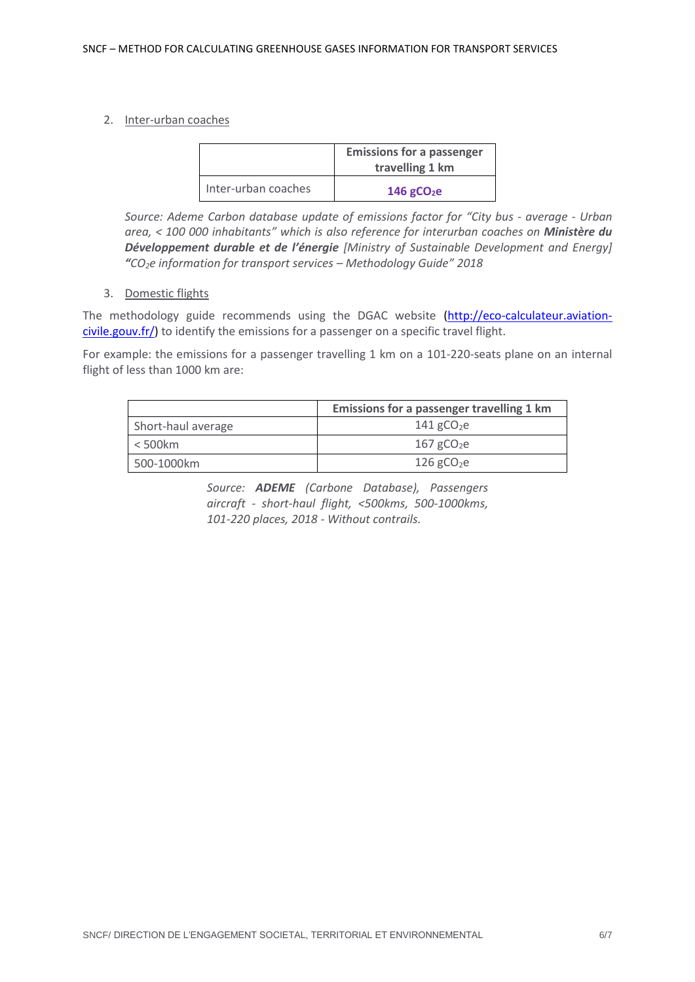### 2. Inter-urban coaches

|                     | <b>Emissions for a passenger</b><br>travelling 1 km |
|---------------------|-----------------------------------------------------|
| Inter-urban coaches | 146 $gCO2e$                                         |

*Source: Ademe Carbon database update of emissions factor for "City bus - average - Urban area, < 100 000 inhabitants" which is also reference for interurban coaches on Ministère du Développement durable et de l'énergie [Ministry of Sustainable Development and Energy] "CO2e information for transport services – Methodology Guide" 2018*

## 3. Domestic flights

The methodology guide recommends using the DGAC website [\(http://eco-calculateur.aviation](http://eco-calculateur.aviation-civile.gouv.fr/)[civile.gouv.fr/\)](http://eco-calculateur.aviation-civile.gouv.fr/) to identify the emissions for a passenger on a specific travel flight.

For example: the emissions for a passenger travelling 1 km on a 101-220-seats plane on an internal flight of less than 1000 km are:

|                    | Emissions for a passenger travelling 1 km |  |  |  |  |
|--------------------|-------------------------------------------|--|--|--|--|
| Short-haul average | $141$ gCO <sub>2</sub> e                  |  |  |  |  |
| $<$ 500 $km$       | $167$ gCO <sub>2</sub> e                  |  |  |  |  |
| 500-1000km         | $126$ gCO <sub>2</sub> e                  |  |  |  |  |

*Source: ADEME (Carbone Database), Passengers aircraft - short-haul flight, <500kms, 500-1000kms, 101-220 places, 2018 - Without contrails.*